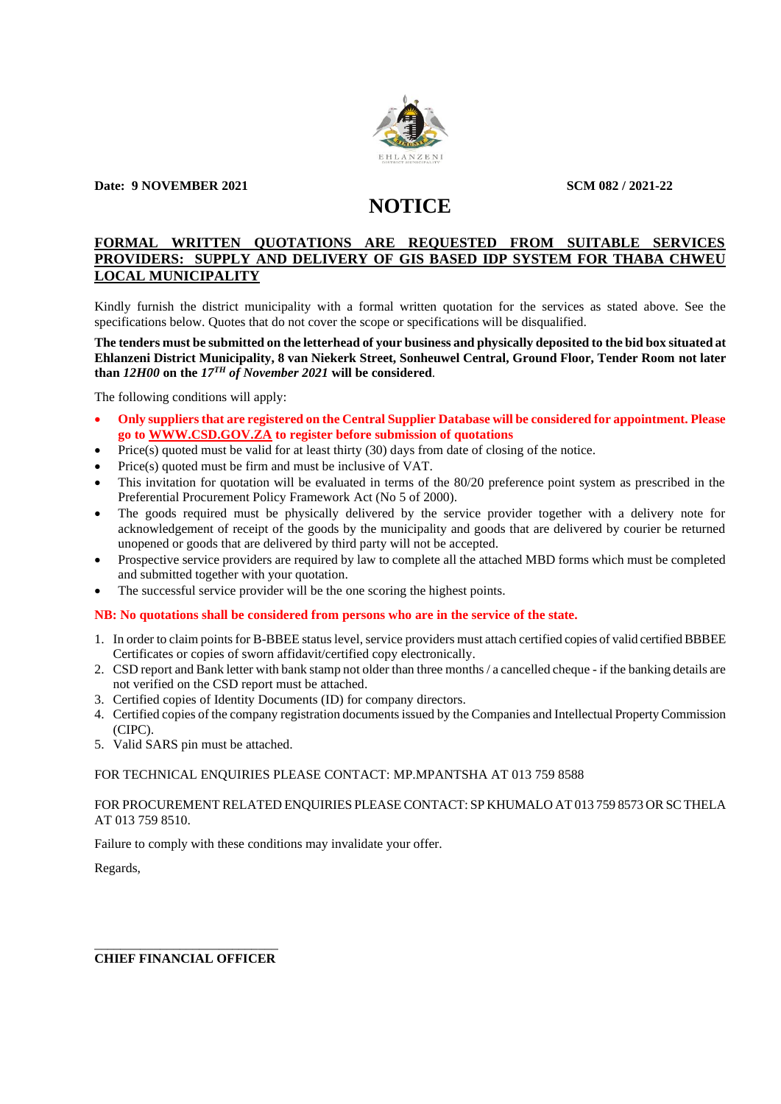

**Date: 9 NOVEMBER 2021 SCM 082 / 2021-22** 

# **NOTICE**

## **FORMAL WRITTEN QUOTATIONS ARE REQUESTED FROM SUITABLE SERVICES PROVIDERS: SUPPLY AND DELIVERY OF GIS BASED IDP SYSTEM FOR THABA CHWEU LOCAL MUNICIPALITY**

Kindly furnish the district municipality with a formal written quotation for the services as stated above. See the specifications below. Quotes that do not cover the scope or specifications will be disqualified.

**The tenders must be submitted on the letterhead of your business and physically deposited to the bid box situated at Ehlanzeni District Municipality, 8 van Niekerk Street, Sonheuwel Central, Ground Floor, Tender Room not later than** *12H00* **on the** *17TH of November 2021* **will be considered**.

The following conditions will apply:

- **Only suppliersthat are registered on the Central Supplier Database will be considered for appointment. Please go to [WWW.CSD.GOV.ZA](http://www.csd.gov.za/) to register before submission of quotations**
- Price(s) quoted must be valid for at least thirty (30) days from date of closing of the notice.
- Price(s) quoted must be firm and must be inclusive of VAT.
- This invitation for quotation will be evaluated in terms of the 80/20 preference point system as prescribed in the Preferential Procurement Policy Framework Act (No 5 of 2000).
- The goods required must be physically delivered by the service provider together with a delivery note for acknowledgement of receipt of the goods by the municipality and goods that are delivered by courier be returned unopened or goods that are delivered by third party will not be accepted.
- Prospective service providers are required by law to complete all the attached MBD forms which must be completed and submitted together with your quotation.
- The successful service provider will be the one scoring the highest points.

#### **NB: No quotations shall be considered from persons who are in the service of the state.**

- 1. In order to claim points for B-BBEE status level, service providers must attach certified copies of valid certified BBBEE Certificates or copies of sworn affidavit/certified copy electronically.
- 2. CSD report and Bank letter with bank stamp not older than three months / a cancelled cheque if the banking details are not verified on the CSD report must be attached.
- 3. Certified copies of Identity Documents (ID) for company directors.
- 4. Certified copies of the company registration documents issued by the Companies and Intellectual Property Commission (CIPC).
- 5. Valid SARS pin must be attached.

#### FOR TECHNICAL ENQUIRIES PLEASE CONTACT: MP.MPANTSHA AT 013 759 8588

FOR PROCUREMENT RELATED ENQUIRIES PLEASE CONTACT: SP KHUMALO AT 013 759 8573 OR SC THELA AT 013 759 8510.

Failure to comply with these conditions may invalidate your offer.

Regards,

\_\_\_\_\_\_\_\_\_\_\_\_\_\_\_\_\_\_\_\_\_\_\_\_\_\_\_\_ **CHIEF FINANCIAL OFFICER**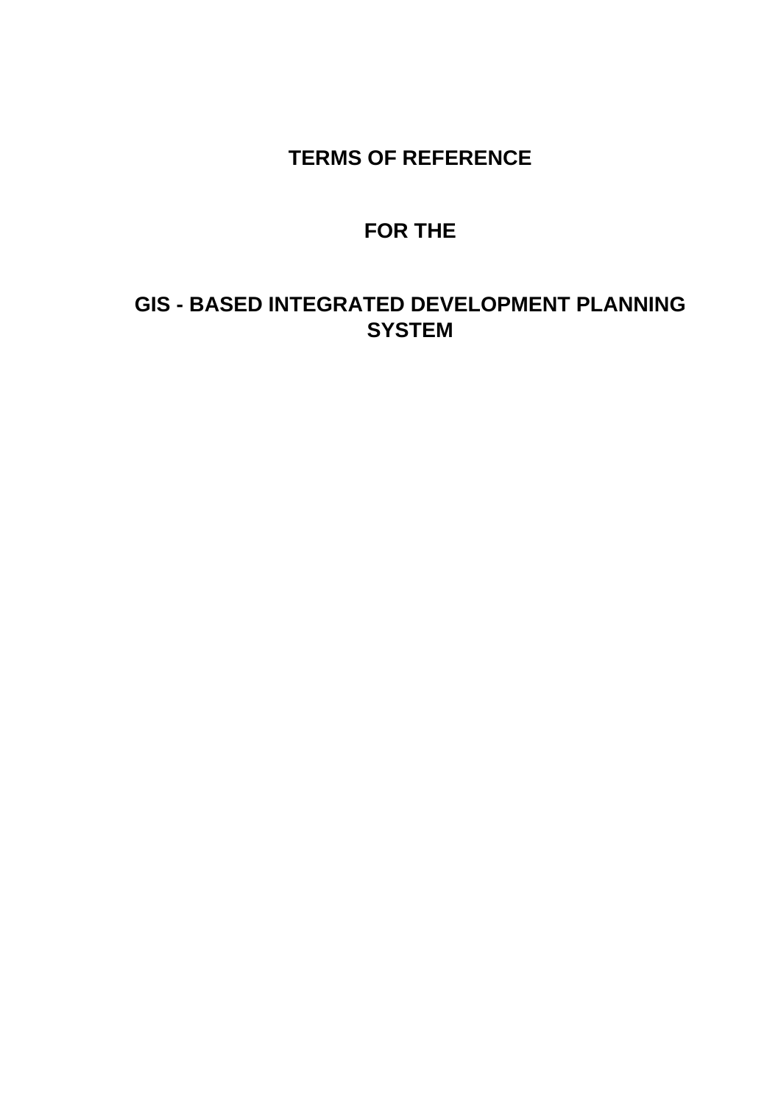# **TERMS OF REFERENCE**

# **FOR THE**

# **GIS - BASED INTEGRATED DEVELOPMENT PLANNING SYSTEM**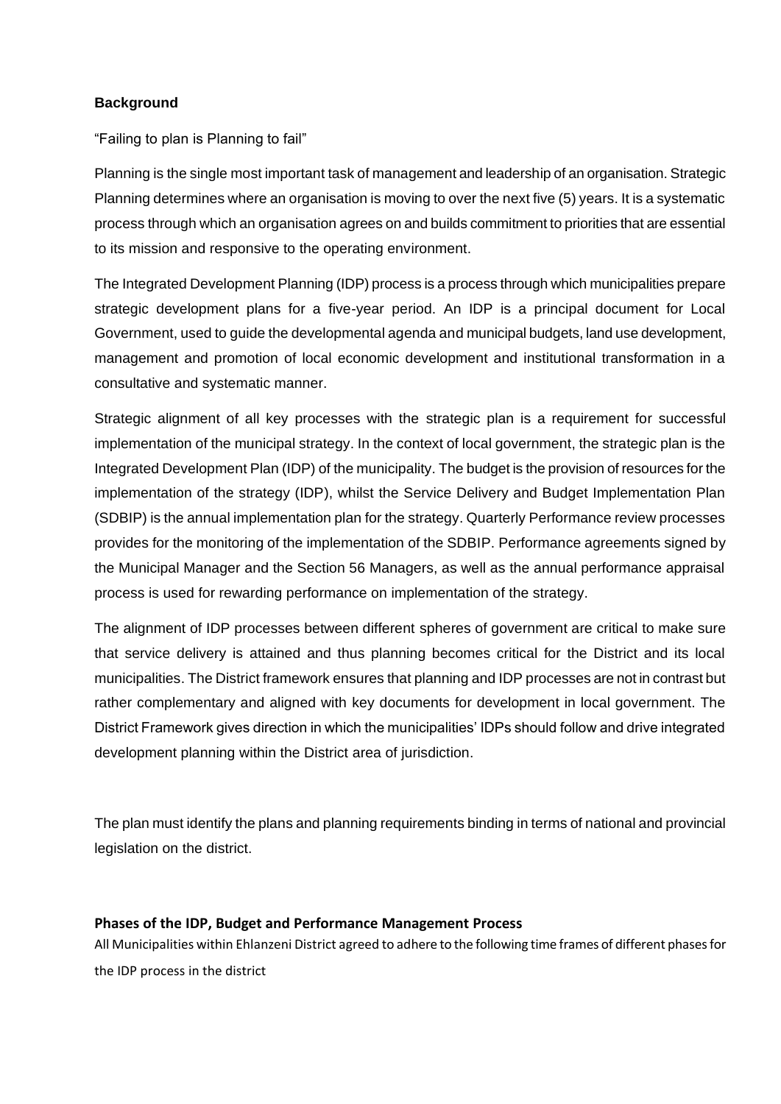## **Background**

"Failing to plan is Planning to fail"

Planning is the single most important task of management and leadership of an organisation. Strategic Planning determines where an organisation is moving to over the next five (5) years. It is a systematic process through which an organisation agrees on and builds commitment to priorities that are essential to its mission and responsive to the operating environment.

The Integrated Development Planning (IDP) process is a process through which municipalities prepare strategic development plans for a five-year period. An IDP is a principal document for Local Government, used to guide the developmental agenda and municipal budgets, land use development, management and promotion of local economic development and institutional transformation in a consultative and systematic manner.

Strategic alignment of all key processes with the strategic plan is a requirement for successful implementation of the municipal strategy. In the context of local government, the strategic plan is the Integrated Development Plan (IDP) of the municipality. The budget is the provision of resources for the implementation of the strategy (IDP), whilst the Service Delivery and Budget Implementation Plan (SDBIP) is the annual implementation plan for the strategy. Quarterly Performance review processes provides for the monitoring of the implementation of the SDBIP. Performance agreements signed by the Municipal Manager and the Section 56 Managers, as well as the annual performance appraisal process is used for rewarding performance on implementation of the strategy.

The alignment of IDP processes between different spheres of government are critical to make sure that service delivery is attained and thus planning becomes critical for the District and its local municipalities. The District framework ensures that planning and IDP processes are not in contrast but rather complementary and aligned with key documents for development in local government. The District Framework gives direction in which the municipalities' IDPs should follow and drive integrated development planning within the District area of jurisdiction.

The plan must identify the plans and planning requirements binding in terms of national and provincial legislation on the district.

## **Phases of the IDP, Budget and Performance Management Process**

All Municipalities within Ehlanzeni District agreed to adhere to the following time frames of different phases for the IDP process in the district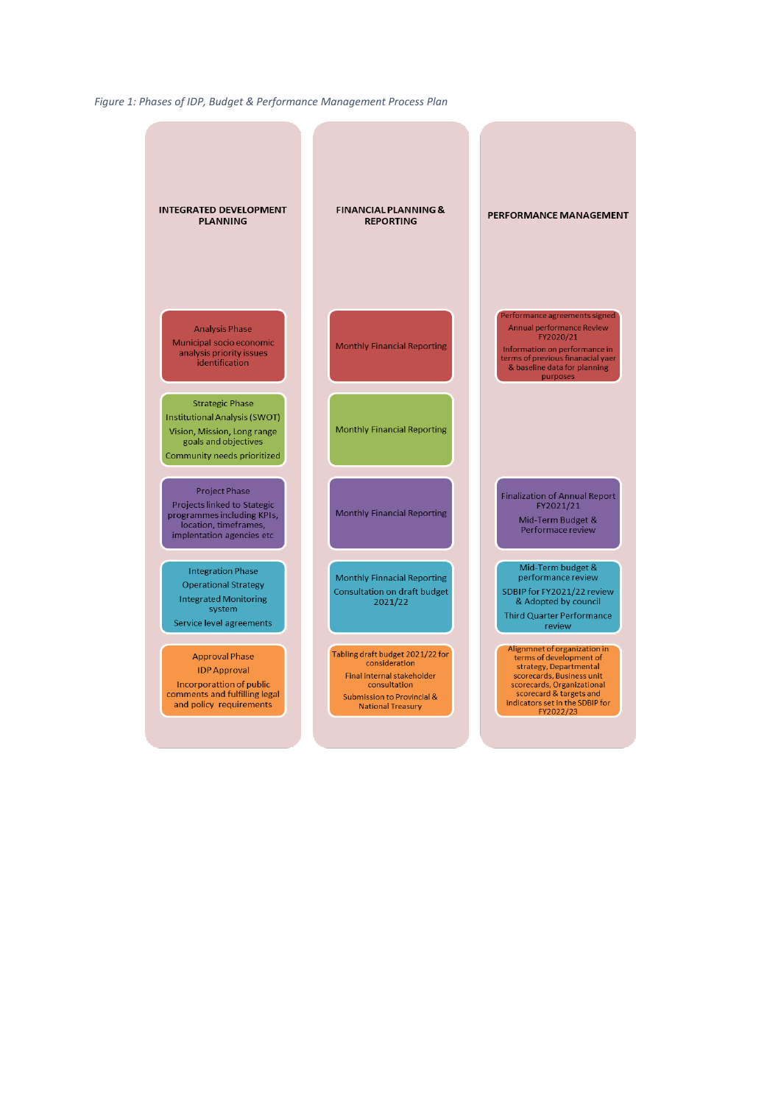*Figure 1: Phases of IDP, Budget & Performance Management Process Plan*

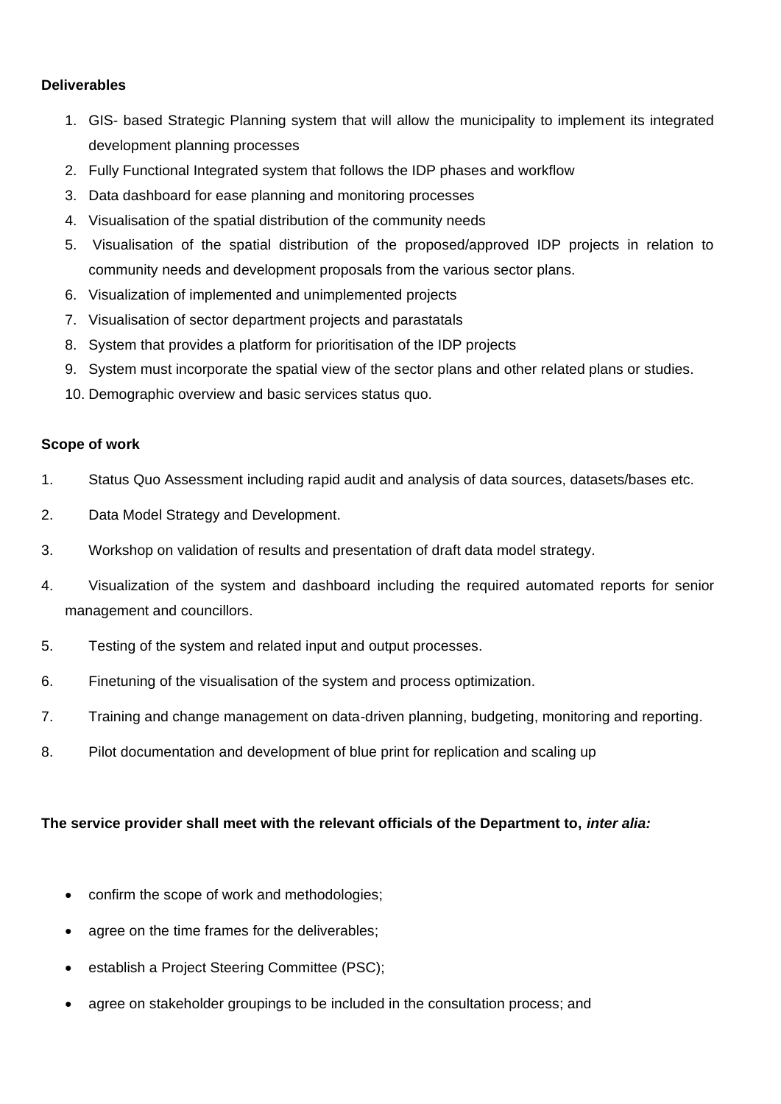## **Deliverables**

- 1. GIS- based Strategic Planning system that will allow the municipality to implement its integrated development planning processes
- 2. Fully Functional Integrated system that follows the IDP phases and workflow
- 3. Data dashboard for ease planning and monitoring processes
- 4. Visualisation of the spatial distribution of the community needs
- 5. Visualisation of the spatial distribution of the proposed/approved IDP projects in relation to community needs and development proposals from the various sector plans.
- 6. Visualization of implemented and unimplemented projects
- 7. Visualisation of sector department projects and parastatals
- 8. System that provides a platform for prioritisation of the IDP projects
- 9. System must incorporate the spatial view of the sector plans and other related plans or studies.
- 10. Demographic overview and basic services status quo.

### **Scope of work**

- 1. Status Quo Assessment including rapid audit and analysis of data sources, datasets/bases etc.
- 2. Data Model Strategy and Development.
- 3. Workshop on validation of results and presentation of draft data model strategy.
- 4. Visualization of the system and dashboard including the required automated reports for senior management and councillors.
- 5. Testing of the system and related input and output processes.
- 6. Finetuning of the visualisation of the system and process optimization.
- 7. Training and change management on data-driven planning, budgeting, monitoring and reporting.
- 8. Pilot documentation and development of blue print for replication and scaling up

## **The service provider shall meet with the relevant officials of the Department to,** *inter alia:*

- confirm the scope of work and methodologies;
- agree on the time frames for the deliverables;
- establish a Project Steering Committee (PSC);
- agree on stakeholder groupings to be included in the consultation process; and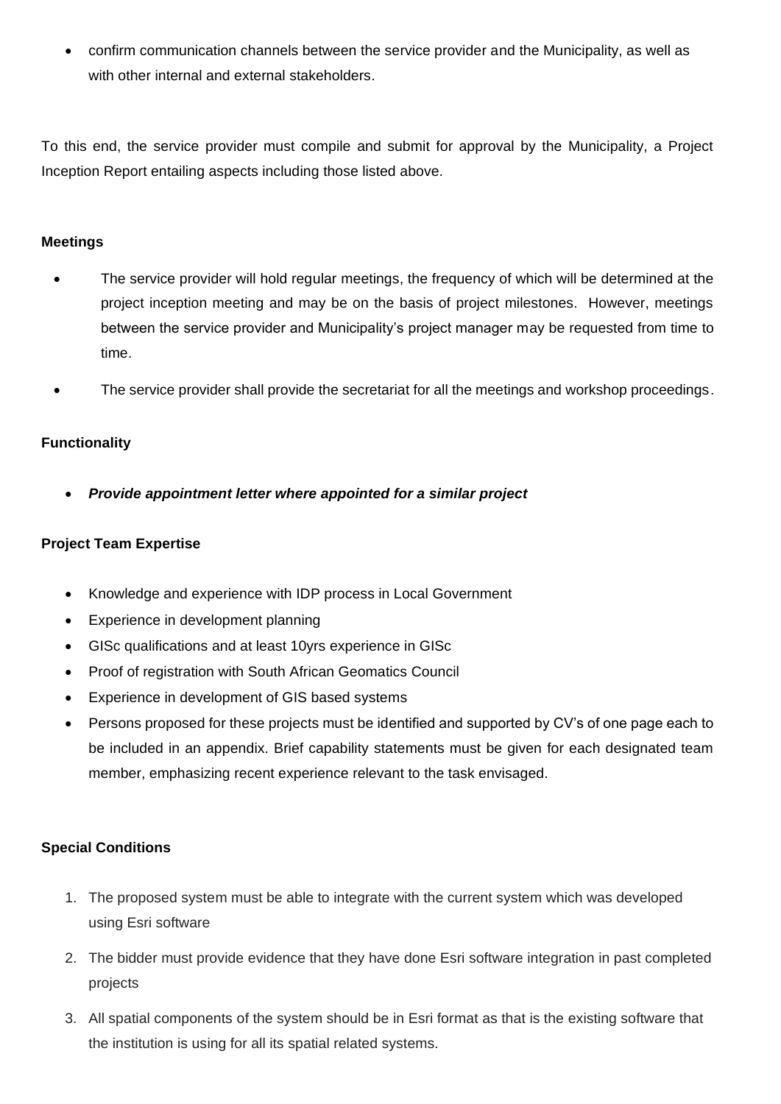• confirm communication channels between the service provider and the Municipality, as well as with other internal and external stakeholders.

To this end, the service provider must compile and submit for approval by the Municipality, a Project Inception Report entailing aspects including those listed above.

## **Meetings**

- The service provider will hold regular meetings, the frequency of which will be determined at the project inception meeting and may be on the basis of project milestones. However, meetings between the service provider and Municipality's project manager may be requested from time to time.
- The service provider shall provide the secretariat for all the meetings and workshop proceedings.

## **Functionality**

• *Provide appointment letter where appointed for a similar project*

## **Project Team Expertise**

- Knowledge and experience with IDP process in Local Government
- Experience in development planning
- GISc qualifications and at least 10yrs experience in GISc
- Proof of registration with South African Geomatics Council
- Experience in development of GIS based systems
- Persons proposed for these projects must be identified and supported by CV's of one page each to be included in an appendix. Brief capability statements must be given for each designated team member, emphasizing recent experience relevant to the task envisaged.

## **Special Conditions**

- 1. The proposed system must be able to integrate with the current system which was developed using Esri software
- 2. The bidder must provide evidence that they have done Esri software integration in past completed projects
- 3. All spatial components of the system should be in Esri format as that is the existing software that the institution is using for all its spatial related systems.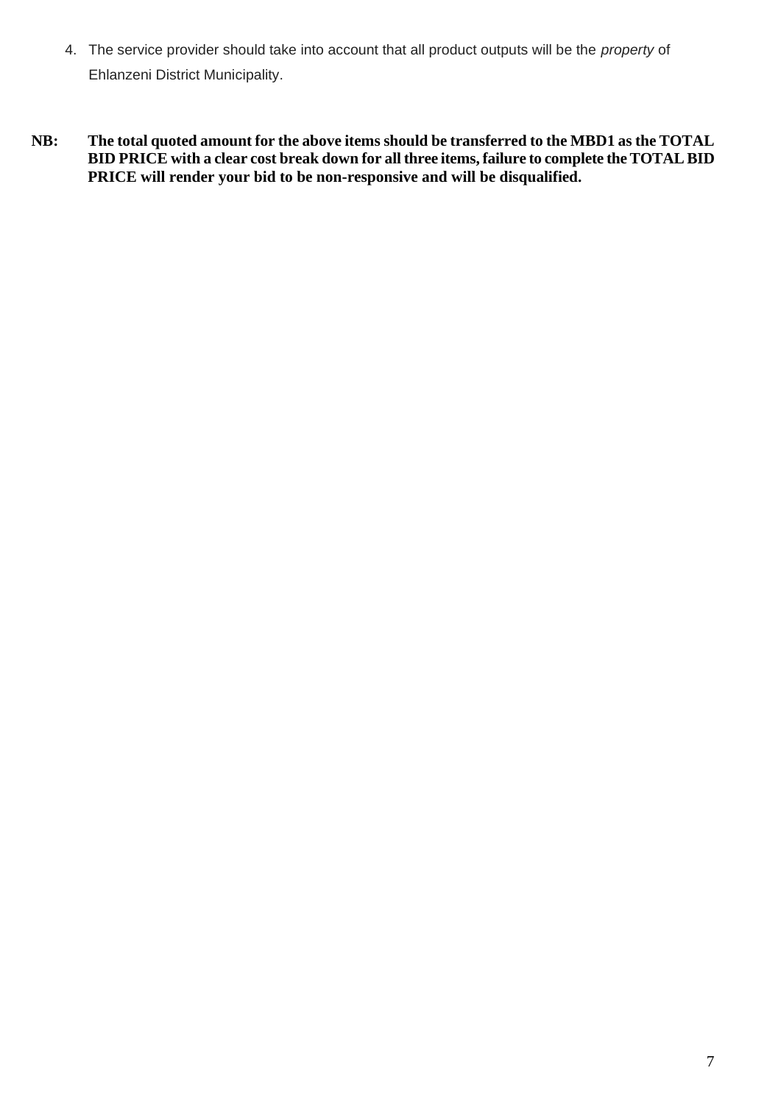- 4. The service provider should take into account that all product outputs will be the *property* of Ehlanzeni District Municipality.
- **NB: The total quoted amount for the above items should be transferred to the MBD1 as the TOTAL BID PRICE with a clear cost break down for all three items, failure to complete the TOTAL BID PRICE will render your bid to be non-responsive and will be disqualified.**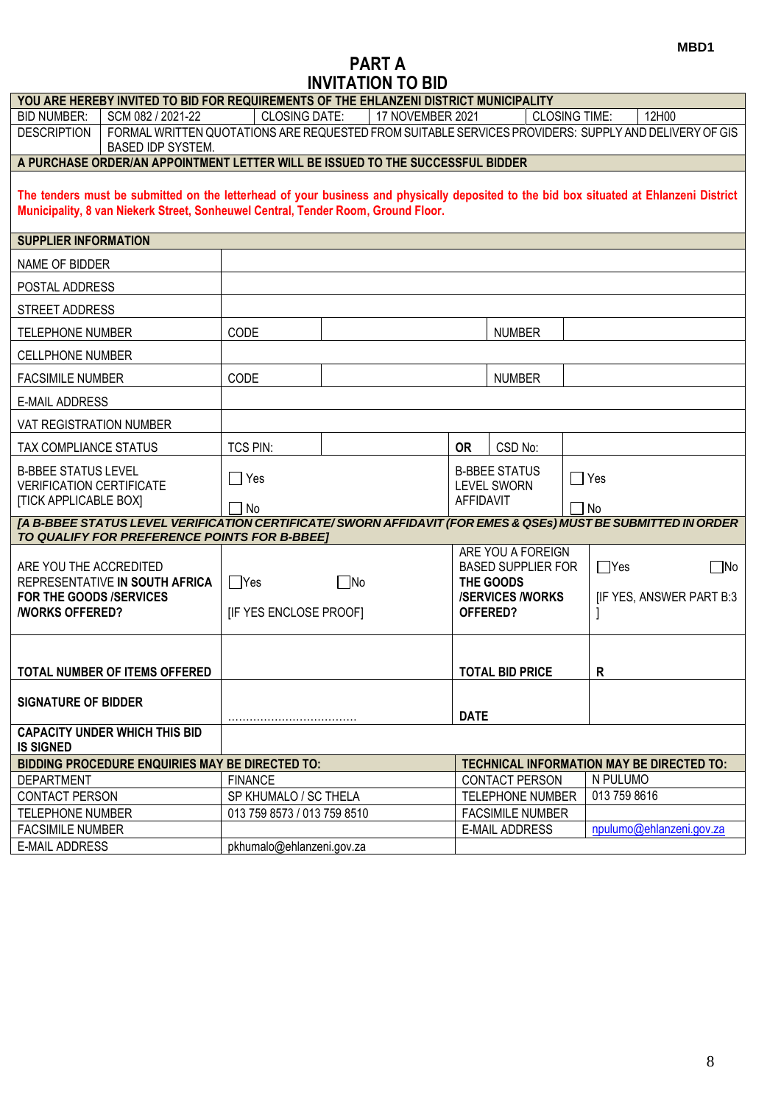# **PART A INVITATION TO BID**

|                                                                                               | YOU ARE HEREBY INVITED TO BID FOR REQUIREMENTS OF THE EHLANZENI DISTRICT MUNICIPALITY                                                                                                                                        |                                            |           |                  |             |                                                                                                   |                         |              |                                                  |
|-----------------------------------------------------------------------------------------------|------------------------------------------------------------------------------------------------------------------------------------------------------------------------------------------------------------------------------|--------------------------------------------|-----------|------------------|-------------|---------------------------------------------------------------------------------------------------|-------------------------|--------------|--------------------------------------------------|
| <b>BID NUMBER:</b>                                                                            | SCM 082 / 2021-22                                                                                                                                                                                                            | <b>CLOSING DATE:</b>                       |           | 17 NOVEMBER 2021 |             |                                                                                                   | <b>CLOSING TIME:</b>    |              | 12H00                                            |
| <b>DESCRIPTION</b>                                                                            | FORMAL WRITTEN QUOTATIONS ARE REQUESTED FROM SUITABLE SERVICES PROVIDERS: SUPPLY AND DELIVERY OF GIS<br><b>BASED IDP SYSTEM.</b>                                                                                             |                                            |           |                  |             |                                                                                                   |                         |              |                                                  |
|                                                                                               | A PURCHASE ORDER/AN APPOINTMENT LETTER WILL BE ISSUED TO THE SUCCESSFUL BIDDER                                                                                                                                               |                                            |           |                  |             |                                                                                                   |                         |              |                                                  |
|                                                                                               | The tenders must be submitted on the letterhead of your business and physically deposited to the bid box situated at Ehlanzeni District<br>Municipality, 8 van Niekerk Street, Sonheuwel Central, Tender Room, Ground Floor. |                                            |           |                  |             |                                                                                                   |                         |              |                                                  |
| <b>SUPPLIER INFORMATION</b>                                                                   |                                                                                                                                                                                                                              |                                            |           |                  |             |                                                                                                   |                         |              |                                                  |
| NAME OF BIDDER                                                                                |                                                                                                                                                                                                                              |                                            |           |                  |             |                                                                                                   |                         |              |                                                  |
| POSTAL ADDRESS                                                                                |                                                                                                                                                                                                                              |                                            |           |                  |             |                                                                                                   |                         |              |                                                  |
| STREET ADDRESS                                                                                |                                                                                                                                                                                                                              |                                            |           |                  |             |                                                                                                   |                         |              |                                                  |
| <b>TELEPHONE NUMBER</b>                                                                       |                                                                                                                                                                                                                              | CODE                                       |           |                  |             | <b>NUMBER</b>                                                                                     |                         |              |                                                  |
| <b>CELLPHONE NUMBER</b>                                                                       |                                                                                                                                                                                                                              |                                            |           |                  |             |                                                                                                   |                         |              |                                                  |
| <b>FACSIMILE NUMBER</b>                                                                       |                                                                                                                                                                                                                              | CODE                                       |           |                  |             | <b>NUMBER</b>                                                                                     |                         |              |                                                  |
| <b>E-MAIL ADDRESS</b>                                                                         |                                                                                                                                                                                                                              |                                            |           |                  |             |                                                                                                   |                         |              |                                                  |
| <b>VAT REGISTRATION NUMBER</b>                                                                |                                                                                                                                                                                                                              |                                            |           |                  |             |                                                                                                   |                         |              |                                                  |
| TAX COMPLIANCE STATUS                                                                         |                                                                                                                                                                                                                              | TCS PIN:                                   |           |                  | <b>OR</b>   | CSD No:                                                                                           |                         |              |                                                  |
| <b>B-BBEE STATUS LEVEL</b><br><b>VERIFICATION CERTIFICATE</b><br><b>[TICK APPLICABLE BOX]</b> |                                                                                                                                                                                                                              | $\Box$ Yes<br>7 No                         |           |                  | AFFIDAVIT   | <b>B-BBEE STATUS</b><br><b>LEVEL SWORN</b>                                                        | $\Box$ Yes<br>$\Box$ No |              |                                                  |
|                                                                                               | [A B-BBEE STATUS LEVEL VERIFICATION CERTIFICATE/SWORN AFFIDAVIT (FOR EMES & QSEs) MUST BE SUBMITTED IN ORDER                                                                                                                 |                                            |           |                  |             |                                                                                                   |                         |              |                                                  |
| ARE YOU THE ACCREDITED<br>FOR THE GOODS /SERVICES<br><b><i>NORKS OFFERED?</i></b>             | TO QUALIFY FOR PREFERENCE POINTS FOR B-BBEE]<br>REPRESENTATIVE IN SOUTH AFRICA                                                                                                                                               | $\Box$ Yes<br><b>IF YES ENCLOSE PROOFI</b> | $\Box$ No |                  |             | ARE YOU A FOREIGN<br><b>BASED SUPPLIER FOR</b><br>THE GOODS<br><b>/SERVICES/WORKS</b><br>OFFERED? |                         | $\Box$ Yes   | $\Box$ No<br>[IF YES, ANSWER PART B:3            |
|                                                                                               | TOTAL NUMBER OF ITEMS OFFERED                                                                                                                                                                                                |                                            |           |                  |             | <b>TOTAL BID PRICE</b>                                                                            |                         | $\mathsf{R}$ |                                                  |
| <b>SIGNATURE OF BIDDER</b>                                                                    |                                                                                                                                                                                                                              |                                            |           |                  | <b>DATE</b> |                                                                                                   |                         |              |                                                  |
| <b>IS SIGNED</b>                                                                              | <b>CAPACITY UNDER WHICH THIS BID</b>                                                                                                                                                                                         |                                            |           |                  |             |                                                                                                   |                         |              |                                                  |
|                                                                                               | <b>BIDDING PROCEDURE ENQUIRIES MAY BE DIRECTED TO:</b>                                                                                                                                                                       |                                            |           |                  |             |                                                                                                   |                         |              | <b>TECHNICAL INFORMATION MAY BE DIRECTED TO:</b> |
| <b>DEPARTMENT</b>                                                                             |                                                                                                                                                                                                                              | <b>FINANCE</b>                             |           |                  |             | <b>CONTACT PERSON</b>                                                                             |                         | N PULUMO     |                                                  |
| <b>CONTACT PERSON</b>                                                                         |                                                                                                                                                                                                                              | SP KHUMALO / SC THELA                      |           |                  |             | TELEPHONE NUMBER                                                                                  |                         | 013 759 8616 |                                                  |
| TELEPHONE NUMBER                                                                              |                                                                                                                                                                                                                              | 013 759 8573 / 013 759 8510                |           |                  |             | <b>FACSIMILE NUMBER</b>                                                                           |                         |              |                                                  |
| <b>FACSIMILE NUMBER</b>                                                                       |                                                                                                                                                                                                                              |                                            |           |                  |             | <b>E-MAIL ADDRESS</b>                                                                             |                         |              | npulumo@ehlanzeni.gov.za                         |
| <b>E-MAIL ADDRESS</b>                                                                         |                                                                                                                                                                                                                              | pkhumalo@ehlanzeni.gov.za                  |           |                  |             |                                                                                                   |                         |              |                                                  |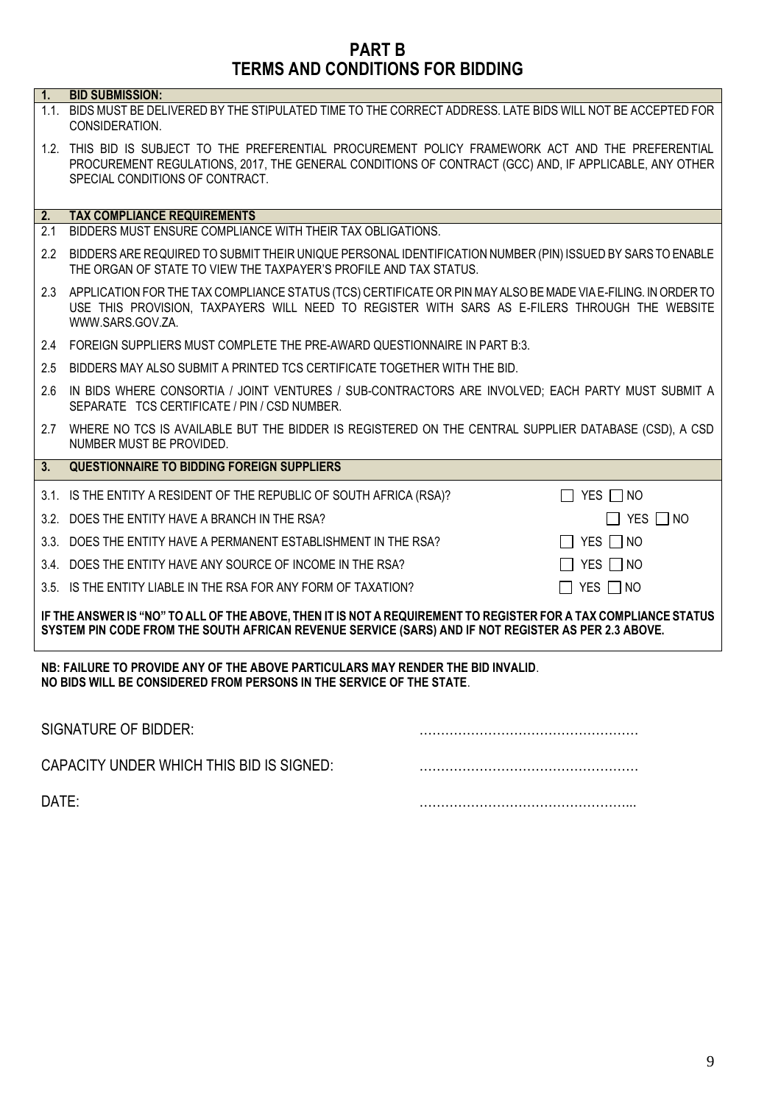## **PART B TERMS AND CONDITIONS FOR BIDDING**

| 1.               | <b>BID SUBMISSION:</b>                                                                                                                                                                                                                         |                      |
|------------------|------------------------------------------------------------------------------------------------------------------------------------------------------------------------------------------------------------------------------------------------|----------------------|
|                  | 1.1. BIDS MUST BE DELIVERED BY THE STIPULATED TIME TO THE CORRECT ADDRESS. LATE BIDS WILL NOT BE ACCEPTED FOR<br>CONSIDERATION.                                                                                                                |                      |
|                  | 1.2. THIS BID IS SUBJECT TO THE PREFERENTIAL PROCUREMENT POLICY FRAMEWORK ACT AND THE PREFERENTIAL<br>PROCUREMENT REGULATIONS, 2017, THE GENERAL CONDITIONS OF CONTRACT (GCC) AND, IF APPLICABLE, ANY OTHER<br>SPECIAL CONDITIONS OF CONTRACT. |                      |
| 2.               | <b>TAX COMPLIANCE REQUIREMENTS</b>                                                                                                                                                                                                             |                      |
| 2.1              | BIDDERS MUST ENSURE COMPLIANCE WITH THEIR TAX OBLIGATIONS.                                                                                                                                                                                     |                      |
| $2.2\phantom{0}$ | BIDDERS ARE REQUIRED TO SUBMIT THEIR UNIQUE PERSONAL IDENTIFICATION NUMBER (PIN) ISSUED BY SARS TO ENABLE<br>THE ORGAN OF STATE TO VIEW THE TAXPAYER'S PROFILE AND TAX STATUS.                                                                 |                      |
| 2.3              | APPLICATION FOR THE TAX COMPLIANCE STATUS (TCS) CERTIFICATE OR PIN MAY ALSO BE MADE VIA E-FILING. IN ORDER TO<br>USE THIS PROVISION, TAXPAYERS WILL NEED TO REGISTER WITH SARS AS E-FILERS THROUGH THE WEBSITE<br>WWW.SARS.GOV.ZA.             |                      |
|                  | 2.4 FOREIGN SUPPLIERS MUST COMPLETE THE PRE-AWARD QUESTIONNAIRE IN PART B:3.                                                                                                                                                                   |                      |
| 2.5              | BIDDERS MAY ALSO SUBMIT A PRINTED TCS CERTIFICATE TOGETHER WITH THE BID.                                                                                                                                                                       |                      |
| 26               | IN BIDS WHERE CONSORTIA / JOINT VENTURES / SUB-CONTRACTORS ARE INVOLVED; EACH PARTY MUST SUBMIT A<br>SEPARATE TCS CERTIFICATE / PIN / CSD NUMBER.                                                                                              |                      |
| 2.7              | WHERE NO TCS IS AVAILABLE BUT THE BIDDER IS REGISTERED ON THE CENTRAL SUPPLIER DATABASE (CSD), A CSD<br>NUMBER MUST BE PROVIDED.                                                                                                               |                      |
| 3.               | <b>QUESTIONNAIRE TO BIDDING FOREIGN SUPPLIERS</b>                                                                                                                                                                                              |                      |
|                  | 3.1. IS THE ENTITY A RESIDENT OF THE REPUBLIC OF SOUTH AFRICA (RSA)?                                                                                                                                                                           | $\Box$ YES $\Box$ NO |
|                  | 3.2. DOES THE ENTITY HAVE A BRANCH IN THE RSA?                                                                                                                                                                                                 | $\Box$ YES $\Box$ NO |
|                  | 3.3. DOES THE ENTITY HAVE A PERMANENT ESTABLISHMENT IN THE RSA?                                                                                                                                                                                | $\Box$ YES $\Box$ NO |
|                  | 3.4. DOES THE ENTITY HAVE ANY SOURCE OF INCOME IN THE RSA?                                                                                                                                                                                     | $\Box$ YES $\Box$ NO |
|                  | 3.5. IS THE ENTITY LIABLE IN THE RSA FOR ANY FORM OF TAXATION?                                                                                                                                                                                 | $\Box$ YES $\Box$ NO |
|                  | IF THE ANSWER IS "NO" TO ALL OF THE ABOVE, THEN IT IS NOT A REQUIREMENT TO REGISTER FOR A TAX COMPLIANCE STATUS<br>SYSTEM PIN CODE FROM THE SOUTH AFRICAN REVENUE SERVICE (SARS) AND IF NOT REGISTER AS PER 2.3 ABOVE.                         |                      |
|                  | NB: FAILURE TO PROVIDE ANY OF THE ABOVE PARTICULARS MAY RENDER THE BID INVALID.<br>NO BIDS WILL BE CONSIDERED FROM PERSONS IN THE SERVICE OF THE STATE.                                                                                        |                      |

| SIGNATURE OF BIDDER:                     |  |
|------------------------------------------|--|
| CAPACITY UNDER WHICH THIS BID IS SIGNED: |  |
| DATE:                                    |  |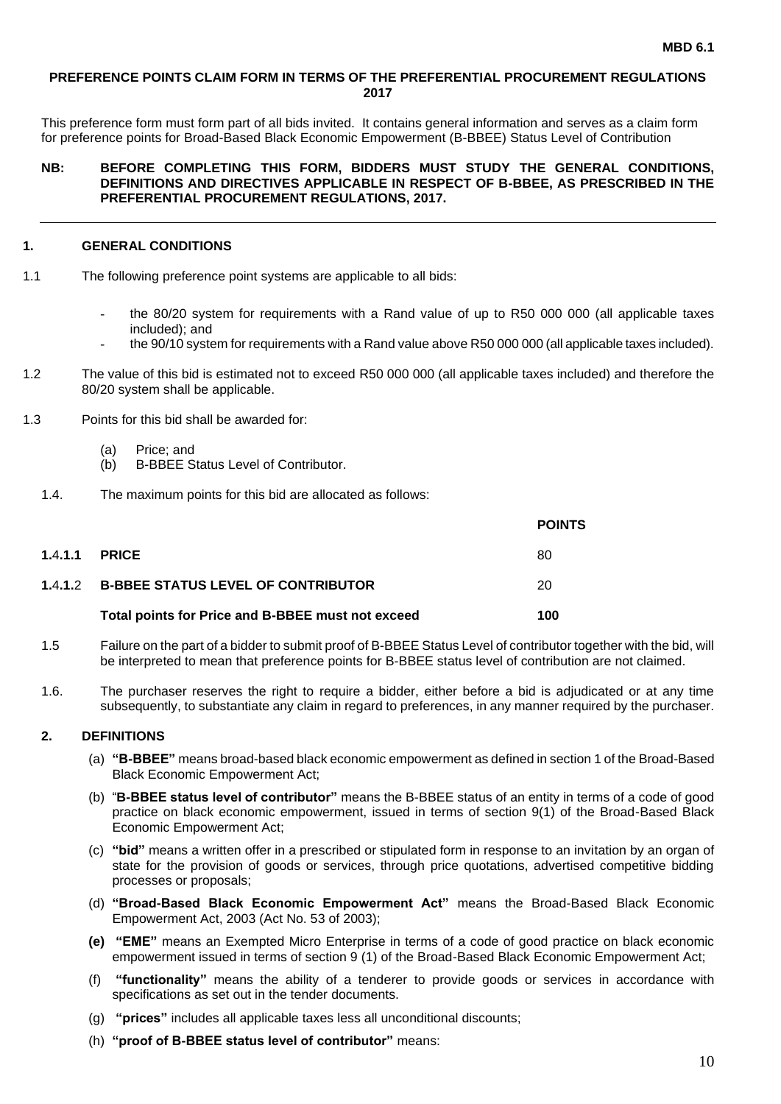#### **PREFERENCE POINTS CLAIM FORM IN TERMS OF THE PREFERENTIAL PROCUREMENT REGULATIONS 2017**

This preference form must form part of all bids invited. It contains general information and serves as a claim form for preference points for Broad-Based Black Economic Empowerment (B-BBEE) Status Level of Contribution

#### **NB: BEFORE COMPLETING THIS FORM, BIDDERS MUST STUDY THE GENERAL CONDITIONS, DEFINITIONS AND DIRECTIVES APPLICABLE IN RESPECT OF B-BBEE, AS PRESCRIBED IN THE PREFERENTIAL PROCUREMENT REGULATIONS, 2017.**

#### **1. GENERAL CONDITIONS**

- 1.1 The following preference point systems are applicable to all bids:
	- the 80/20 system for requirements with a Rand value of up to R50 000 000 (all applicable taxes included); and
	- the 90/10 system for requirements with a Rand value above R50 000 000 (all applicable taxes included).
- 1.2 The value of this bid is estimated not to exceed R50 000 000 (all applicable taxes included) and therefore the 80/20 system shall be applicable.
- 1.3 Points for this bid shall be awarded for:
	- (a) Price; and
	- (b) B-BBEE Status Level of Contributor.
	- 1.4. The maximum points for this bid are allocated as follows:

|         |                                                   | <b>POINTS</b> |
|---------|---------------------------------------------------|---------------|
| 1.4.1.1 | <b>PRICE</b>                                      | 80            |
|         | 1.4.1.2 B-BBEE STATUS LEVEL OF CONTRIBUTOR        | 20            |
|         | Total points for Price and B-BBEE must not exceed | 100           |

- 1.5 Failure on the part of a bidder to submit proof of B-BBEE Status Level of contributor together with the bid, will be interpreted to mean that preference points for B-BBEE status level of contribution are not claimed.
- 1.6. The purchaser reserves the right to require a bidder, either before a bid is adjudicated or at any time subsequently, to substantiate any claim in regard to preferences, in any manner required by the purchaser.

#### **2. DEFINITIONS**

- (a) **"B-BBEE"** means broad-based black economic empowerment as defined in section 1 of the Broad-Based Black Economic Empowerment Act;
- (b) "**B-BBEE status level of contributor"** means the B-BBEE status of an entity in terms of a code of good practice on black economic empowerment, issued in terms of section 9(1) of the Broad-Based Black Economic Empowerment Act;
- (c) **"bid"** means a written offer in a prescribed or stipulated form in response to an invitation by an organ of state for the provision of goods or services, through price quotations, advertised competitive bidding processes or proposals;
- (d) **"Broad-Based Black Economic Empowerment Act"** means the Broad-Based Black Economic Empowerment Act, 2003 (Act No. 53 of 2003);
- **(e) "EME"** means an Exempted Micro Enterprise in terms of a code of good practice on black economic empowerment issued in terms of section 9 (1) of the Broad-Based Black Economic Empowerment Act;
- (f) **"functionality"** means the ability of a tenderer to provide goods or services in accordance with specifications as set out in the tender documents.
- (g) **"prices"** includes all applicable taxes less all unconditional discounts;
- (h) **"proof of B-BBEE status level of contributor"** means: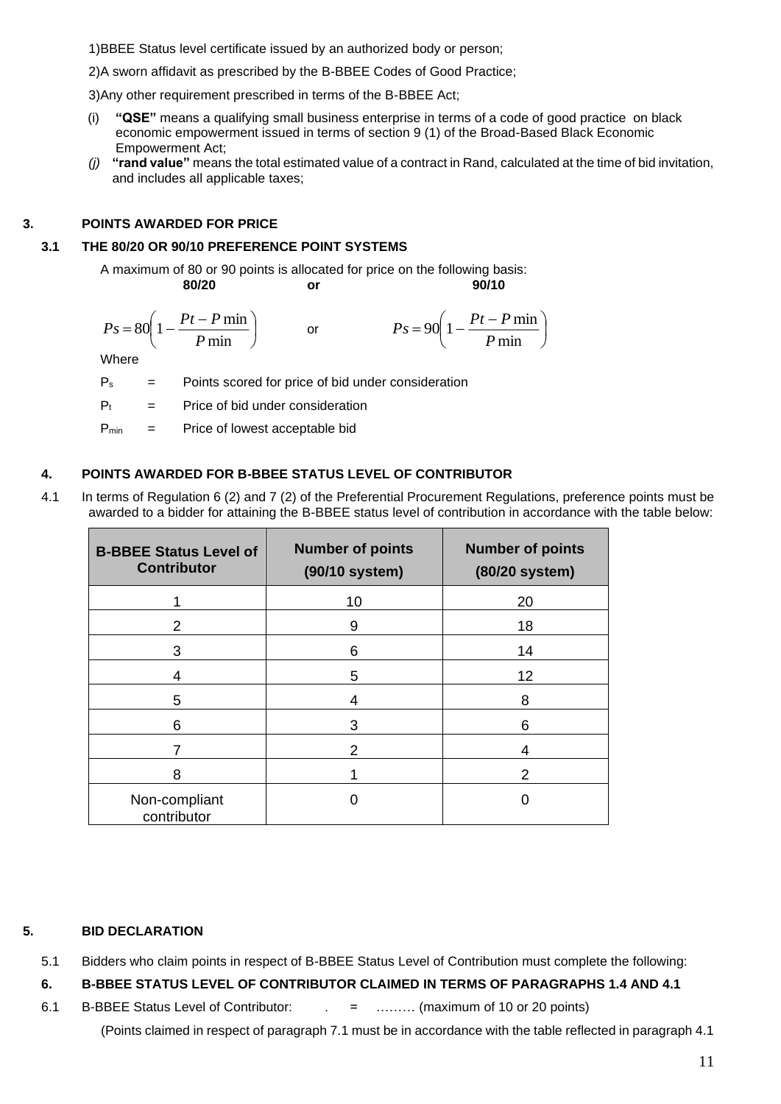1)BBEE Status level certificate issued by an authorized body or person;

2)A sworn affidavit as prescribed by the B-BBEE Codes of Good Practice;

3)Any other requirement prescribed in terms of the B-BBEE Act;

- (i) **"QSE"** means a qualifying small business enterprise in terms of a code of good practice on black economic empowerment issued in terms of section 9 (1) of the Broad-Based Black Economic Empowerment Act;
- *(j)* **"rand value"** means the total estimated value of a contract in Rand, calculated at the time of bid invitation, and includes all applicable taxes;

## **3. POINTS AWARDED FOR PRICE**

#### **3.1 THE 80/20 OR 90/10 PREFERENCE POINT SYSTEMS**

A maximum of 80 or 90 points is allocated for price on the following basis: **80/20 or 90/10**

$$
Ps = 80\left(1 - \frac{Pt - P \min P}{ \min \right) \qquad \text{or} \qquad \qquad Ps = 90\left(1 - \frac{Pt - P \min P}{ \min \right)
$$

Where

 $P_s$  = Points scored for price of bid under consideration

 $P_t$  = Price of bid under consideration

 $P_{min}$  = Price of lowest acceptable bid

#### **4. POINTS AWARDED FOR B-BBEE STATUS LEVEL OF CONTRIBUTOR**

4.1 In terms of Regulation 6 (2) and 7 (2) of the Preferential Procurement Regulations, preference points must be awarded to a bidder for attaining the B-BBEE status level of contribution in accordance with the table below:

| <b>B-BBEE Status Level of</b><br><b>Contributor</b> | <b>Number of points</b><br>(90/10 system) | <b>Number of points</b><br>(80/20 system) |
|-----------------------------------------------------|-------------------------------------------|-------------------------------------------|
|                                                     | 10                                        | 20                                        |
|                                                     | 9                                         | 18                                        |
| 3                                                   | 6                                         | 14                                        |
| 4                                                   | 5                                         | 12                                        |
| 5                                                   | 4                                         | 8                                         |
| 6                                                   | 3                                         | 6                                         |
|                                                     | 2                                         | 4                                         |
| 8                                                   |                                           | 2                                         |
| Non-compliant<br>contributor                        |                                           |                                           |

#### **5. BID DECLARATION**

- 5.1 Bidders who claim points in respect of B-BBEE Status Level of Contribution must complete the following:
- **6. B-BBEE STATUS LEVEL OF CONTRIBUTOR CLAIMED IN TERMS OF PARAGRAPHS 1.4 AND 4.1**
- 6.1 B-BBEE Status Level of Contributor: . = ……… (maximum of 10 or 20 points) (Points claimed in respect of paragraph 7.1 must be in accordance with the table reflected in paragraph 4.1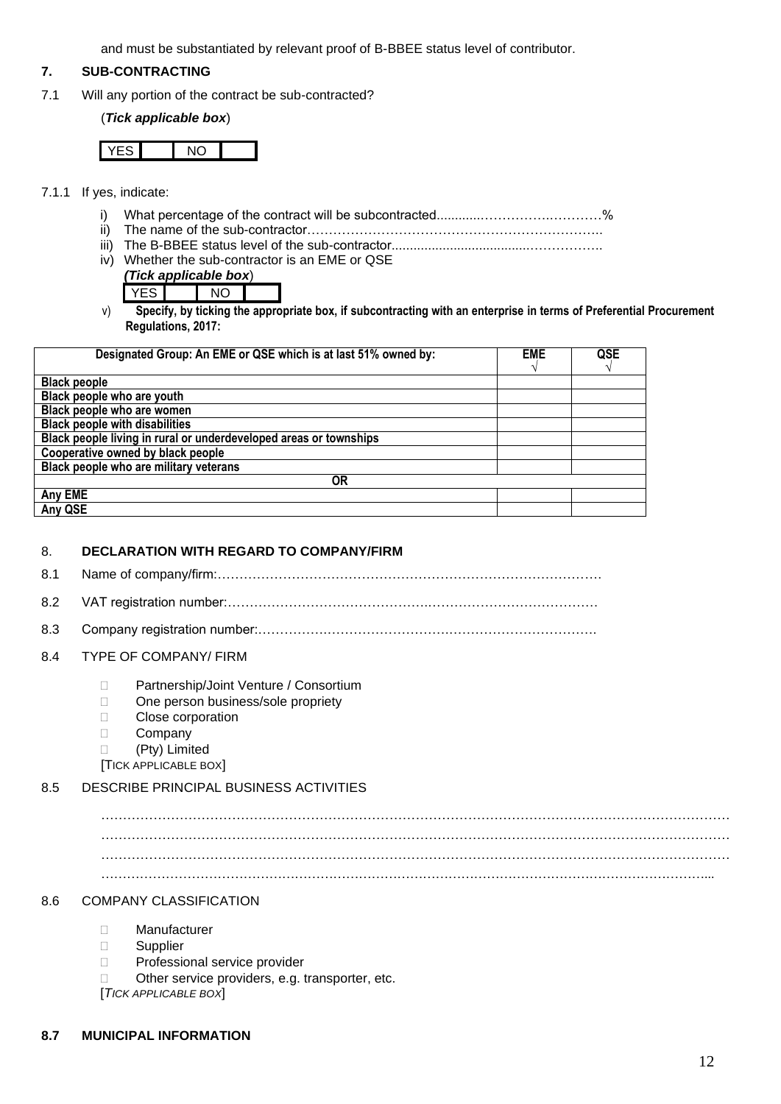and must be substantiated by relevant proof of B-BBEE status level of contributor.

#### **7. SUB-CONTRACTING**

7.1 Will any portion of the contract be sub-contracted?

#### (*Tick applicable box*)

- 7.1.1 If yes, indicate:
	- i) What percentage of the contract will be subcontracted............…………….…………%
	- ii) The name of the sub-contractor…………………………………………………………..
	- iii) The B-BBEE status level of the sub-contractor......................................……………..
	- iv) Whether the sub-contractor is an EME or QSE *(Tick applicable box*)
		- YES NO
	- v) **Specify, by ticking the appropriate box, if subcontracting with an enterprise in terms of Preferential Procurement Regulations, 2017:**

| Designated Group: An EME or QSE which is at last 51% owned by:    | <b>EME</b><br>$\mathcal{L}$ | QSE |
|-------------------------------------------------------------------|-----------------------------|-----|
| <b>Black people</b>                                               |                             |     |
| Black people who are youth                                        |                             |     |
| Black people who are women                                        |                             |     |
| <b>Black people with disabilities</b>                             |                             |     |
| Black people living in rural or underdeveloped areas or townships |                             |     |
| Cooperative owned by black people                                 |                             |     |
| Black people who are military veterans                            |                             |     |
| OR                                                                |                             |     |
| Any EME                                                           |                             |     |
| Any QSE                                                           |                             |     |

#### 8. **DECLARATION WITH REGARD TO COMPANY/FIRM**

- 8.1 Name of company/firm:…………………………………………………………………………….
- 8.2 VAT registration number:……………………………………….…………………………………
- 8.3 Company registration number:…………….……………………….…………………………….
- 8.4 TYPE OF COMPANY/ FIRM
	- □ Partnership/Joint Venture / Consortium
	- □ One person business/sole propriety
	- **Close corporation**
	- D Company
	- (Pty) Limited

[TICK APPLICABLE BOX]

### 8.5 DESCRIBE PRINCIPAL BUSINESS ACTIVITIES

……………………………………………………………………………………………………………………………… ……………………………………………………………………………………………………………………………… ……………………………………………………………………………………………………………………………...

#### 8.6 COMPANY CLASSIFICATION

- Manufacturer
- **Supplier**
- D Professional service provider
- $\Box$  Other service providers, e.g. transporter, etc.

[*TICK APPLICABLE BOX*]

#### **8.7 MUNICIPAL INFORMATION**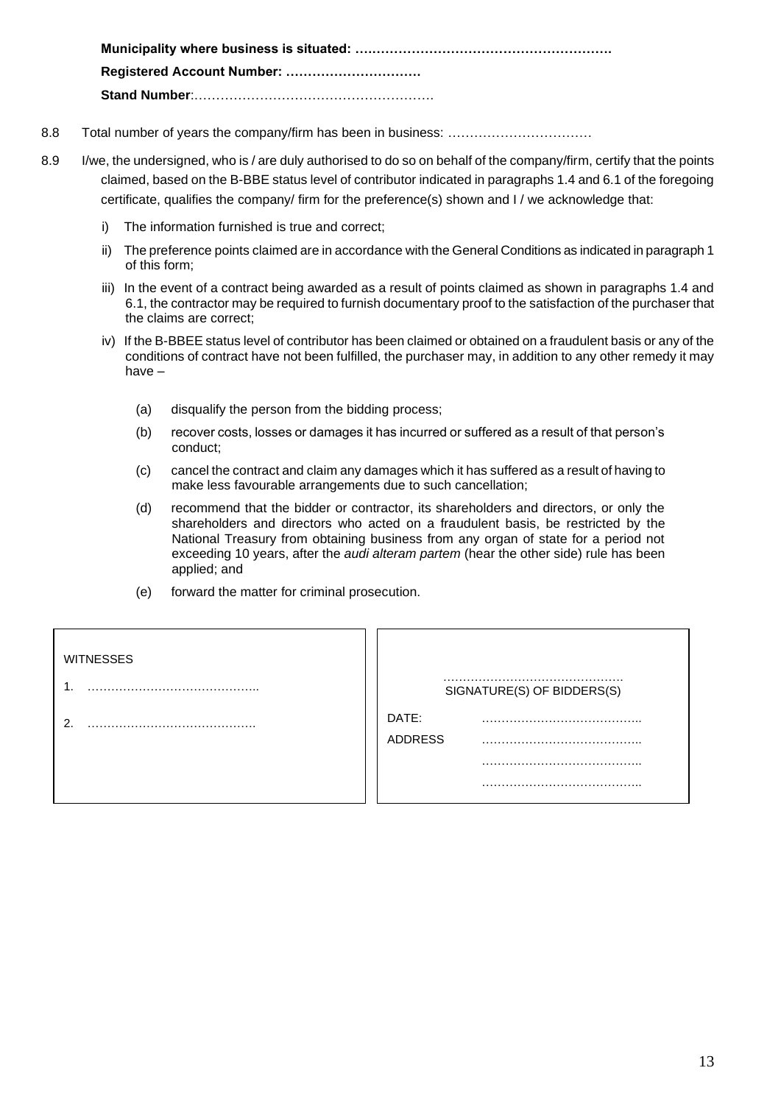**Municipality where business is situated: ….………………………………………………. Registered Account Number: …………………………. Stand Number**:……………………………………………….

- 8.8 Total number of years the company/firm has been in business: ……………………………………
- 8.9 I/we, the undersigned, who is / are duly authorised to do so on behalf of the company/firm, certify that the points claimed, based on the B-BBE status level of contributor indicated in paragraphs 1.4 and 6.1 of the foregoing certificate, qualifies the company/ firm for the preference(s) shown and I / we acknowledge that:
	- i) The information furnished is true and correct;
	- ii) The preference points claimed are in accordance with the General Conditions as indicated in paragraph 1 of this form;
	- iii) In the event of a contract being awarded as a result of points claimed as shown in paragraphs 1.4 and 6.1, the contractor may be required to furnish documentary proof to the satisfaction of the purchaser that the claims are correct;
	- iv) If the B-BBEE status level of contributor has been claimed or obtained on a fraudulent basis or any of the conditions of contract have not been fulfilled, the purchaser may, in addition to any other remedy it may have –
		- (a) disqualify the person from the bidding process;
		- (b) recover costs, losses or damages it has incurred or suffered as a result of that person's conduct;
		- (c) cancel the contract and claim any damages which it has suffered as a result of having to make less favourable arrangements due to such cancellation;
		- (d) recommend that the bidder or contractor, its shareholders and directors, or only the shareholders and directors who acted on a fraudulent basis, be restricted by the National Treasury from obtaining business from any organ of state for a period not exceeding 10 years, after the *audi alteram partem* (hear the other side) rule has been applied; and
		- (e) forward the matter for criminal prosecution.

| <b>WITNESSES</b> |                            |
|------------------|----------------------------|
|                  | SIGNATURE(S) OF BIDDERS(S) |
| ົ                | DATE:<br><b>ADDRESS</b>    |
|                  |                            |
|                  |                            |
|                  |                            |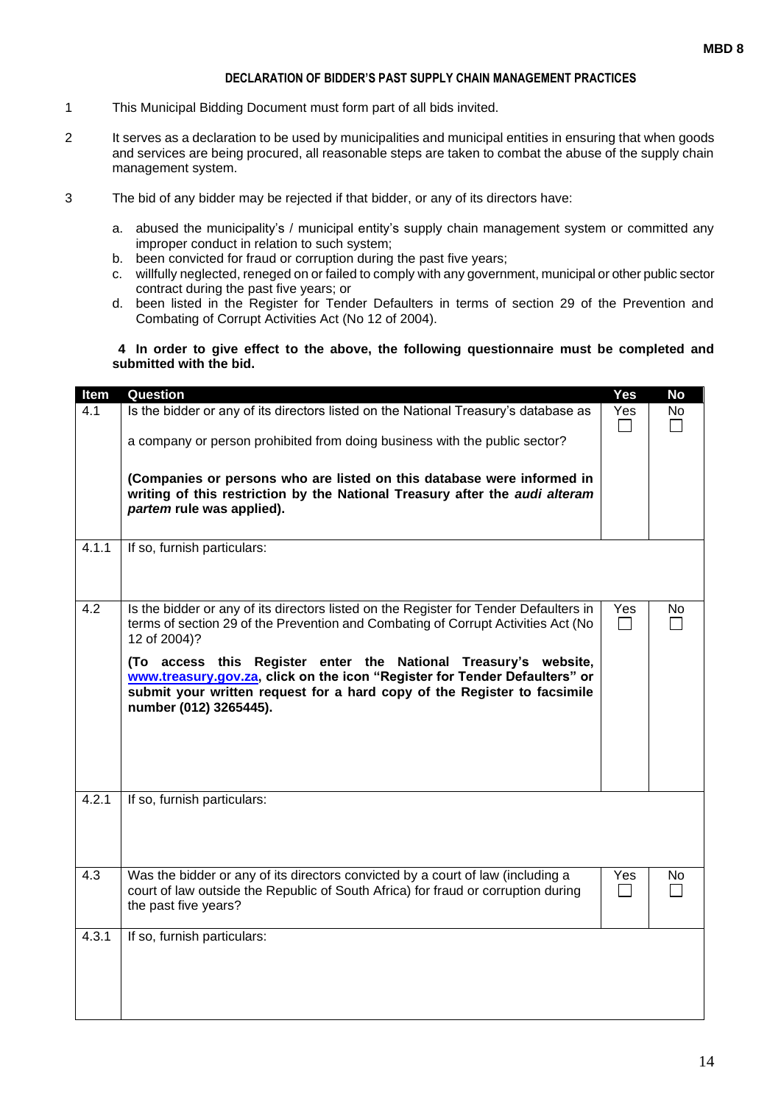#### **DECLARATION OF BIDDER'S PAST SUPPLY CHAIN MANAGEMENT PRACTICES**

- 1 This Municipal Bidding Document must form part of all bids invited.
- 2 It serves as a declaration to be used by municipalities and municipal entities in ensuring that when goods and services are being procured, all reasonable steps are taken to combat the abuse of the supply chain management system.
- 3 The bid of any bidder may be rejected if that bidder, or any of its directors have:
	- a. abused the municipality's / municipal entity's supply chain management system or committed any improper conduct in relation to such system;
	- b. been convicted for fraud or corruption during the past five years;
	- c. willfully neglected, reneged on or failed to comply with any government, municipal or other public sector contract during the past five years; or
	- d. been listed in the Register for Tender Defaulters in terms of section 29 of the Prevention and Combating of Corrupt Activities Act (No 12 of 2004).

#### **4 In order to give effect to the above, the following questionnaire must be completed and submitted with the bid.**

| Item  | Question                                                                                                                                                                                                                                                                                                                                                                                                                                          | Yes | <b>No</b> |
|-------|---------------------------------------------------------------------------------------------------------------------------------------------------------------------------------------------------------------------------------------------------------------------------------------------------------------------------------------------------------------------------------------------------------------------------------------------------|-----|-----------|
| 4.1   | Is the bidder or any of its directors listed on the National Treasury's database as<br>a company or person prohibited from doing business with the public sector?<br>(Companies or persons who are listed on this database were informed in<br>writing of this restriction by the National Treasury after the audi alteram<br>partem rule was applied).                                                                                           | Yes | No        |
| 4.1.1 | If so, furnish particulars:                                                                                                                                                                                                                                                                                                                                                                                                                       |     |           |
| 4.2   | Is the bidder or any of its directors listed on the Register for Tender Defaulters in<br>terms of section 29 of the Prevention and Combating of Corrupt Activities Act (No<br>12 of 2004)?<br>(To access this Register enter the National Treasury's website,<br>www.treasury.gov.za, click on the icon "Register for Tender Defaulters" or<br>submit your written request for a hard copy of the Register to facsimile<br>number (012) 3265445). | Yes | <b>No</b> |
| 4.2.1 | If so, furnish particulars:                                                                                                                                                                                                                                                                                                                                                                                                                       |     |           |
| 4.3   | Was the bidder or any of its directors convicted by a court of law (including a<br>court of law outside the Republic of South Africa) for fraud or corruption during<br>the past five years?                                                                                                                                                                                                                                                      | Yes | No.       |
| 4.3.1 | If so, furnish particulars:                                                                                                                                                                                                                                                                                                                                                                                                                       |     |           |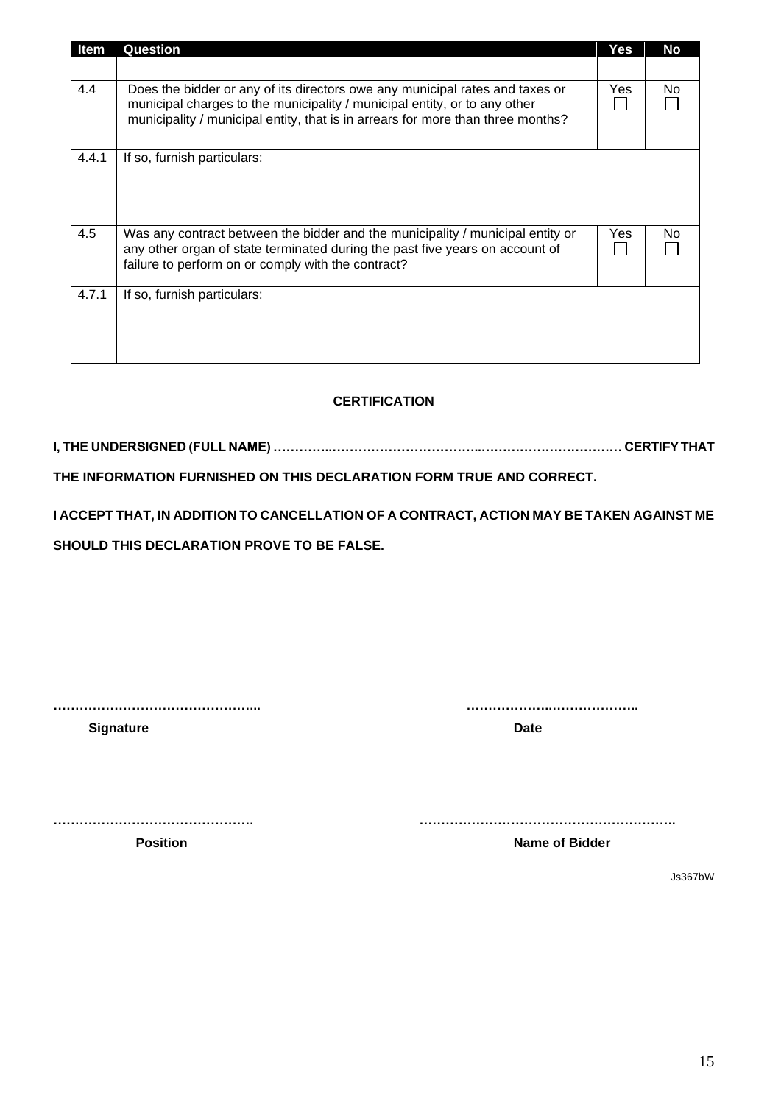| Item  | <b>Question</b>                                                                                                                                                                                                                              | Yes | <b>No</b> |
|-------|----------------------------------------------------------------------------------------------------------------------------------------------------------------------------------------------------------------------------------------------|-----|-----------|
|       |                                                                                                                                                                                                                                              |     |           |
| 4.4   | Does the bidder or any of its directors owe any municipal rates and taxes or<br>municipal charges to the municipality / municipal entity, or to any other<br>municipality / municipal entity, that is in arrears for more than three months? | Yes | No        |
| 4.4.1 | If so, furnish particulars:                                                                                                                                                                                                                  |     |           |
| 4.5   | Was any contract between the bidder and the municipality / municipal entity or<br>any other organ of state terminated during the past five years on account of<br>failure to perform on or comply with the contract?                         | Yes | No.       |
| 4.7.1 | If so, furnish particulars:                                                                                                                                                                                                                  |     |           |

## **CERTIFICATION**

**I, THE UNDERSIGNED (FULL NAME) …………..……………………………..…………………………… CERTIFY THAT** 

**THE INFORMATION FURNISHED ON THIS DECLARATION FORM TRUE AND CORRECT.**

**I ACCEPT THAT, IN ADDITION TO CANCELLATION OF A CONTRACT, ACTION MAY BE TAKEN AGAINST ME** 

**SHOULD THIS DECLARATION PROVE TO BE FALSE.**

**………………………………………... ………………..………………..**

**Signature Date** 

**………………………………………. …………………………………………………..**

**Position Position** *Name of Bidder* 

Js367bW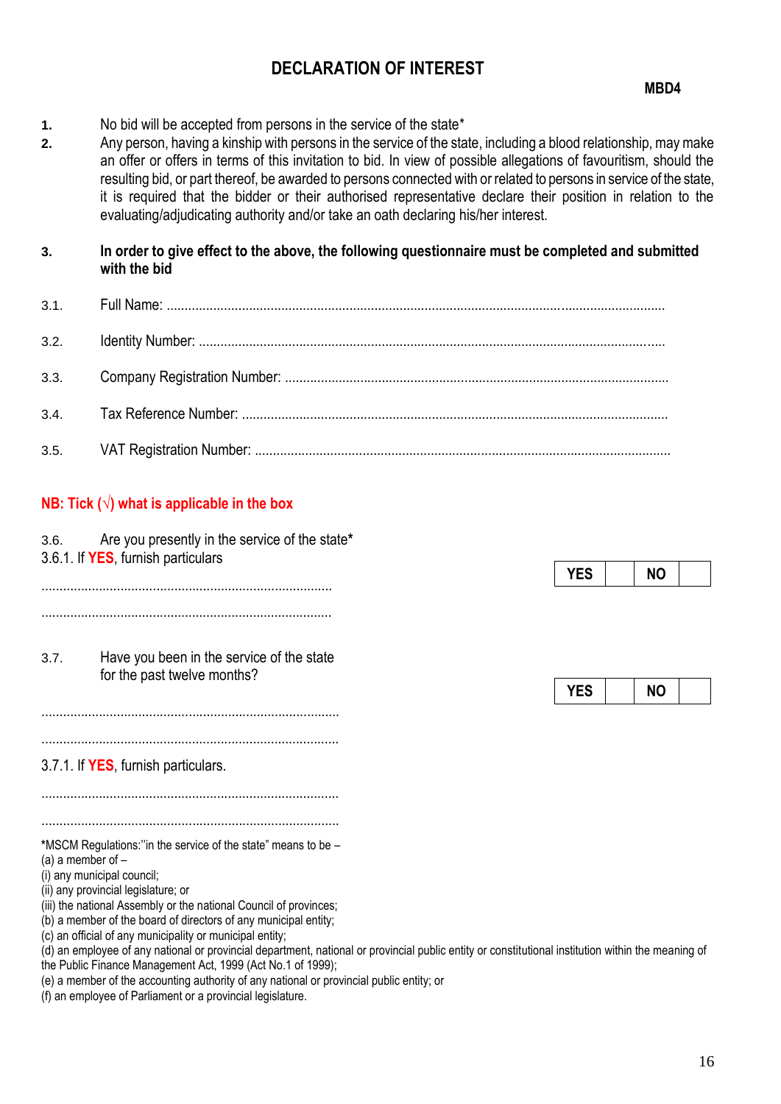## **DECLARATION OF INTEREST**

- **1.** No bid will be accepted from persons in the service of the state\*
- **2.** Any person, having a kinship with persons in the service of the state, including a blood relationship, may make an offer or offers in terms of this invitation to bid. In view of possible allegations of favouritism, should the resulting bid, or part thereof, be awarded to persons connected with or related to persons in service of the state, it is required that the bidder or their authorised representative declare their position in relation to the evaluating/adjudicating authority and/or take an oath declaring his/her interest.

**3. In order to give effect to the above, the following questionnaire must be completed and submitted with the bid**

## **NB: Tick (√) what is applicable in the box**

3.6. Are you presently in the service of the state**\*** 3.6.1. If **YES**, furnish particulars ................................................................................. ................................................................................. 3.7. Have you been in the service of the state for the past twelve months? ................................................................................... ................................................................................... 3.7.1. If **YES**, furnish particulars. ................................................................................... ................................................................................... **\***MSCM Regulations:''in the service of the state" means to be – (a) a member of – (i) any municipal council; (ii) any provincial legislature; or

(iii) the national Assembly or the national Council of provinces;

(b) a member of the board of directors of any municipal entity;

(c) an official of any municipality or municipal entity;

(d) an employee of any national or provincial department, national or provincial public entity or constitutional institution within the meaning of the Public Finance Management Act, 1999 (Act No.1 of 1999);

(e) a member of the accounting authority of any national or provincial public entity; or

(f) an employee of Parliament or a provincial legislature.

|--|

|  | - - |  |
|--|-----|--|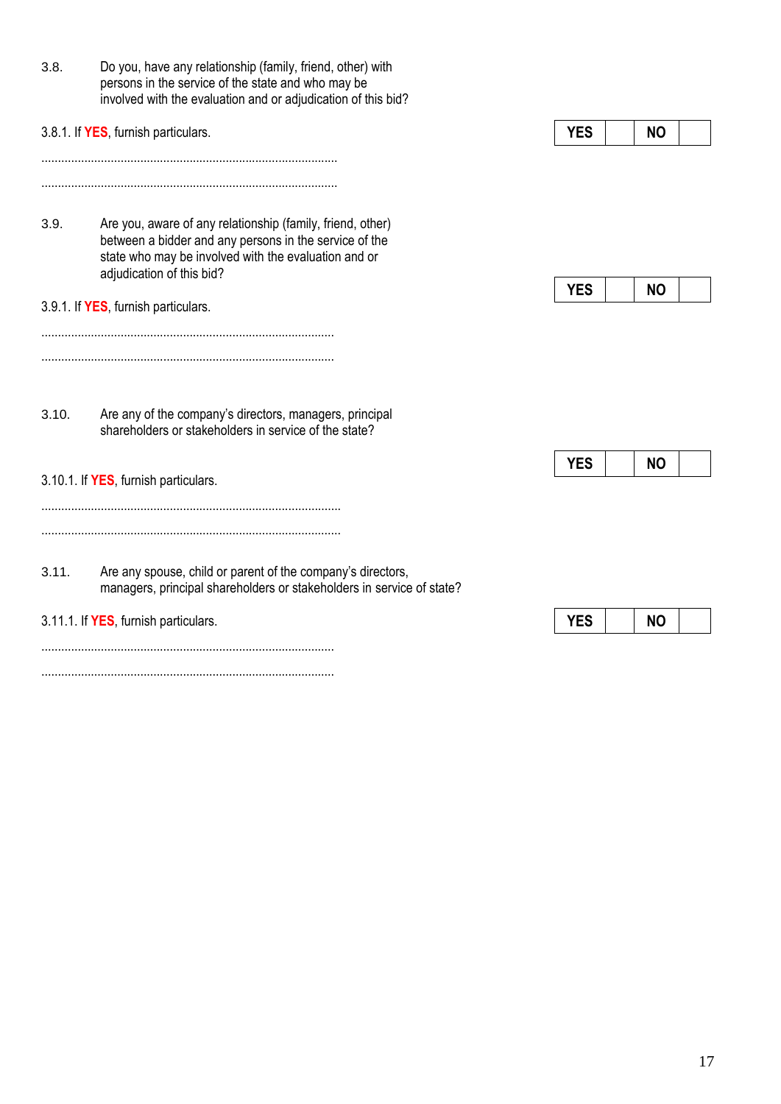|       | persons in the service of the state and who may be<br>involved with the evaluation and or adjudication of this bid?                                                          |                         |
|-------|------------------------------------------------------------------------------------------------------------------------------------------------------------------------------|-------------------------|
|       | 3.8.1. If YES, furnish particulars.                                                                                                                                          | <b>YES</b><br><b>NO</b> |
| 3.9.  | Are you, aware of any relationship (family, friend, other)<br>between a bidder and any persons in the service of the<br>state who may be involved with the evaluation and or |                         |
|       | adjudication of this bid?<br>3.9.1. If YES, furnish particulars.                                                                                                             | <b>YES</b><br><b>NO</b> |
| 3.10. | Are any of the company's directors, managers, principal<br>shareholders or stakeholders in service of the state?                                                             |                         |
|       | 3.10.1. If YES, furnish particulars.                                                                                                                                         | <b>YES</b><br><b>NO</b> |
| 3.11. | Are any spouse, child or parent of the company's directors,<br>managers, principal shareholders or stakeholders in service of state?                                         |                         |
|       | 3.11.1. If YES, furnish particulars.                                                                                                                                         | <b>YES</b><br><b>NO</b> |
|       |                                                                                                                                                                              |                         |

3.8. Do you, have any relationship (family, friend, other) with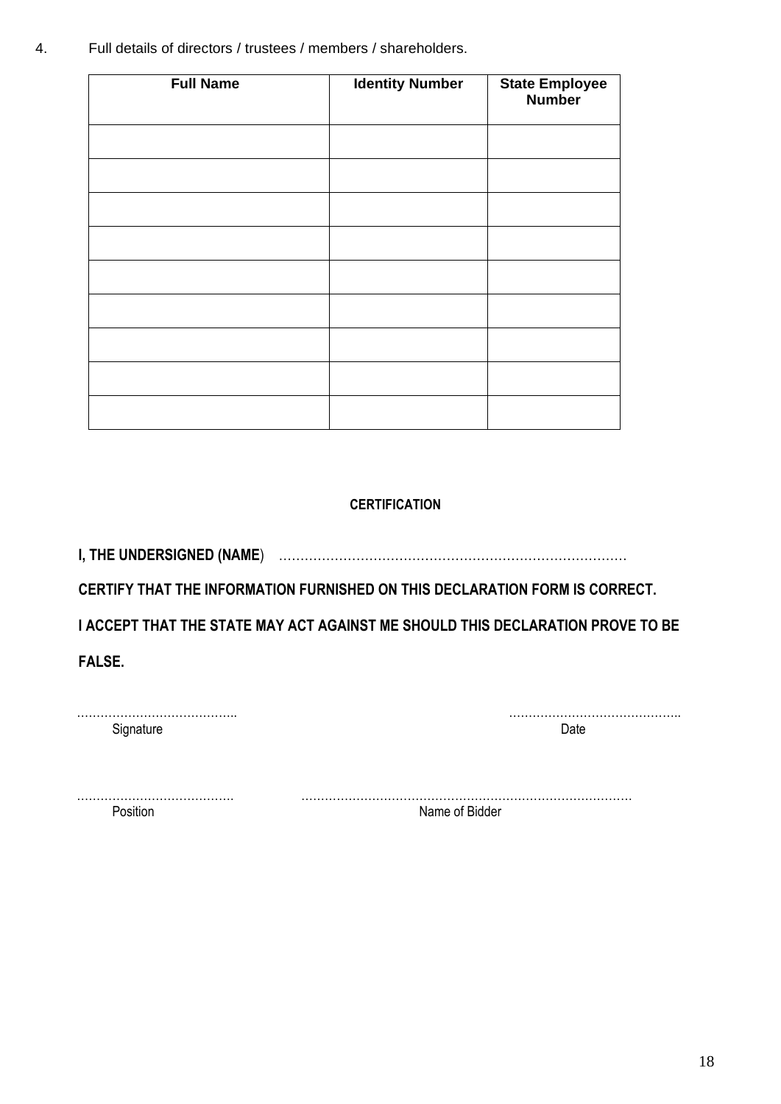4. Full details of directors / trustees / members / shareholders.

| <b>Full Name</b> | <b>Identity Number</b> | <b>State Employee</b><br><b>Number</b> |
|------------------|------------------------|----------------------------------------|
|                  |                        |                                        |
|                  |                        |                                        |
|                  |                        |                                        |
|                  |                        |                                        |
|                  |                        |                                        |
|                  |                        |                                        |
|                  |                        |                                        |
|                  |                        |                                        |
|                  |                        |                                        |

## **CERTIFICATION**

**I, THE UNDERSIGNED (NAME**) ………………………………………………………………………

**CERTIFY THAT THE INFORMATION FURNISHED ON THIS DECLARATION FORM IS CORRECT.** 

**I ACCEPT THAT THE STATE MAY ACT AGAINST ME SHOULD THIS DECLARATION PROVE TO BE** 

**FALSE.** 

| Sinnature |  |
|-----------|--|

………………………………….. ……………………………………..

…………………………………. …………………………………………………………………………

Position **Name of Bidder**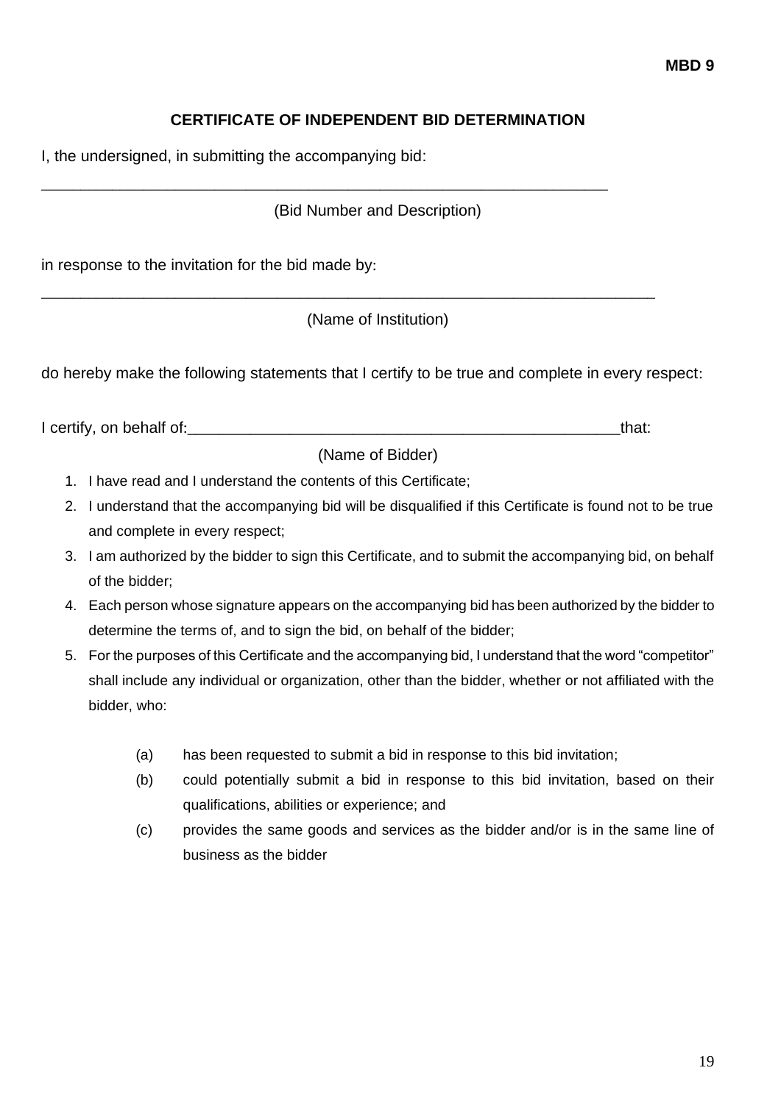## **CERTIFICATE OF INDEPENDENT BID DETERMINATION**

I, the undersigned, in submitting the accompanying bid:

## (Bid Number and Description)

\_\_\_\_\_\_\_\_\_\_\_\_\_\_\_\_\_\_\_\_\_\_\_\_\_\_\_\_\_\_\_\_\_\_\_\_\_\_\_\_\_\_\_\_\_\_\_\_\_\_\_\_\_\_\_\_\_\_\_\_\_\_\_\_\_\_\_\_\_\_\_\_

in response to the invitation for the bid made by:

(Name of Institution)

\_\_\_\_\_\_\_\_\_\_\_\_\_\_\_\_\_\_\_\_\_\_\_\_\_\_\_\_\_\_\_\_\_\_\_\_\_\_\_\_\_\_\_\_\_\_\_\_\_\_\_\_\_\_\_\_\_\_\_\_\_\_\_\_\_\_\_\_\_\_\_\_\_\_\_\_\_\_

do hereby make the following statements that I certify to be true and complete in every respect:

I certify, on behalf of:\_\_\_\_\_\_\_\_\_\_\_\_\_\_\_\_\_\_\_\_\_\_\_\_\_\_\_\_\_\_\_\_\_\_\_\_\_\_\_\_\_\_\_\_\_\_\_\_\_\_\_\_\_\_\_that:

(Name of Bidder)

- 1. I have read and I understand the contents of this Certificate;
- 2. I understand that the accompanying bid will be disqualified if this Certificate is found not to be true and complete in every respect;
- 3. I am authorized by the bidder to sign this Certificate, and to submit the accompanying bid, on behalf of the bidder;
- 4. Each person whose signature appears on the accompanying bid has been authorized by the bidder to determine the terms of, and to sign the bid, on behalf of the bidder;
- 5. For the purposes of this Certificate and the accompanying bid, I understand that the word "competitor" shall include any individual or organization, other than the bidder, whether or not affiliated with the bidder, who:
	- (a) has been requested to submit a bid in response to this bid invitation;
	- (b) could potentially submit a bid in response to this bid invitation, based on their qualifications, abilities or experience; and
	- (c) provides the same goods and services as the bidder and/or is in the same line of business as the bidder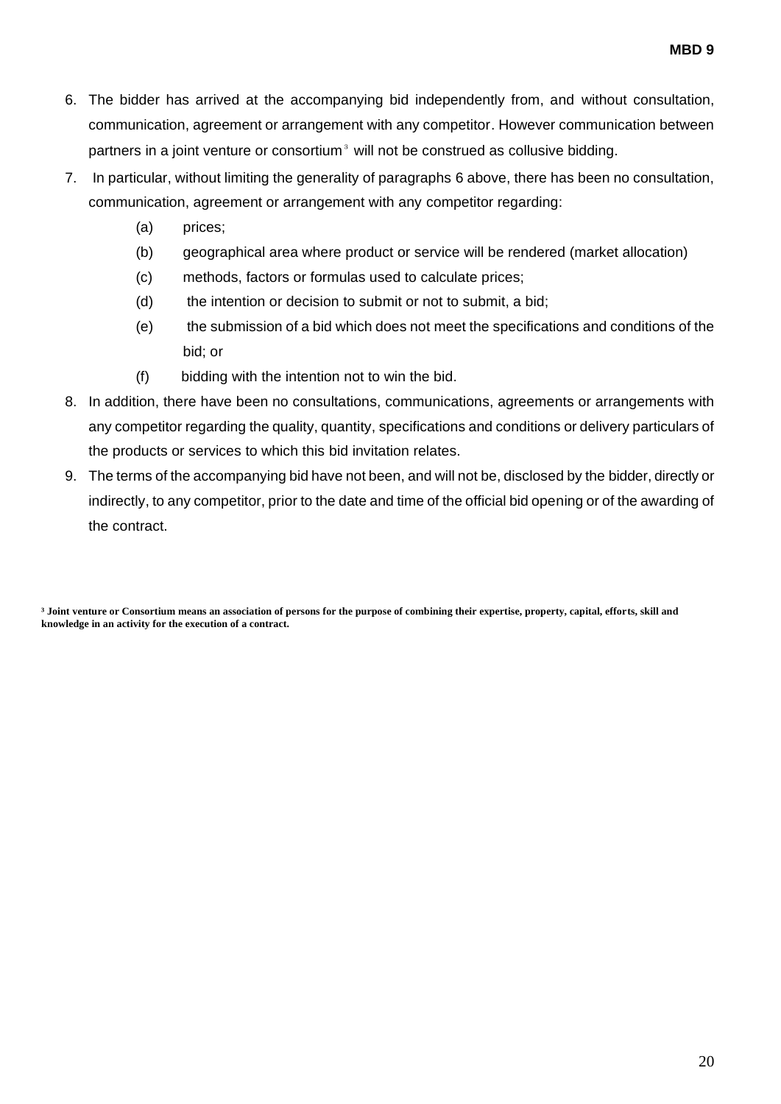- 6. The bidder has arrived at the accompanying bid independently from, and without consultation, communication, agreement or arrangement with any competitor. However communication between partners in a joint venture or consortium<sup>3</sup> will not be construed as collusive bidding.
- 7. In particular, without limiting the generality of paragraphs 6 above, there has been no consultation, communication, agreement or arrangement with any competitor regarding:
	- (a) prices;
	- (b) geographical area where product or service will be rendered (market allocation)
	- (c) methods, factors or formulas used to calculate prices;
	- (d) the intention or decision to submit or not to submit, a bid;
	- (e) the submission of a bid which does not meet the specifications and conditions of the bid; or
	- (f) bidding with the intention not to win the bid.
- 8. In addition, there have been no consultations, communications, agreements or arrangements with any competitor regarding the quality, quantity, specifications and conditions or delivery particulars of the products or services to which this bid invitation relates.
- 9. The terms of the accompanying bid have not been, and will not be, disclosed by the bidder, directly or indirectly, to any competitor, prior to the date and time of the official bid opening or of the awarding of the contract.

**³ Joint venture or Consortium means an association of persons for the purpose of combining their expertise, property, capital, efforts, skill and knowledge in an activity for the execution of a contract.**